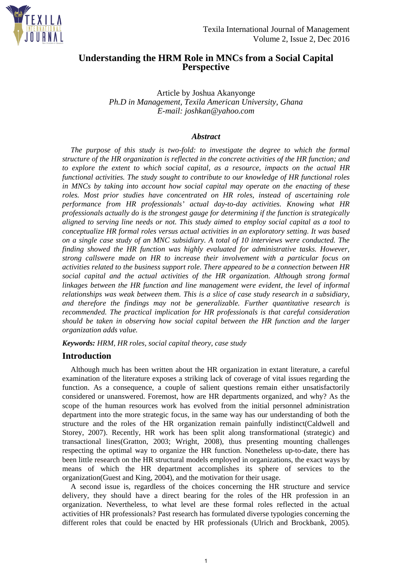

# **Understanding the HRM Role in MNCs from a Social Capital Perspective**

Article by Joshua Akanyonge *Ph.D in Management, Texila American University, Ghana E-mail: joshkan@yahoo.com*

#### *Abstract*

*The purpose of this study is two-fold: to investigate the degree to which the formal structure of the HR organization is reflected in the concrete activities of the HR function; and to explore the extent to which social capital, as a resource, impacts on the actual HR functional activities. The study sought to contribute to our knowledge of HR functional roles in MNCs by taking into account how social capital may operate on the enacting of these roles. Most prior studies have concentrated on HR roles, instead of ascertaining role performance from HR professionals' actual day-to-day activities. Knowing what HR professionals actually do is the strongest gauge for determining if the function is strategically aligned to serving line needs or not. This study aimed to employ social capital as a tool to conceptualize HR formal roles versus actual activities in an exploratory setting. It was based on a single case study of an MNC subsidiary. A total of 10 interviews were conducted. The finding showed the HR function was highly evaluated for administrative tasks. However, strong callswere made on HR to increase their involvement with a particular focus on activities related to the business support role. There appeared to be a connection between HR social capital and the actual activities of the HR organization. Although strong formal linkages between the HR function and line management were evident, the level of informal relationships was weak between them. This is a slice of case study research in a subsidiary, and therefore the findings may not be generalizable. Further quantitative research is recommended. The practical implication for HR professionals is that careful consideration should be taken in observing how social capital between the HR function and the larger organization adds value.*

*Keywords: HRM, HR roles, social capital theory, case study*

# **Introduction**

Although much has been written about the HR organization in extant literature, a careful examination of the literature exposes a striking lack of coverage of vital issues regarding the function. As a consequence, a couple of salient questions remain either unsatisfactorily considered or unanswered. Foremost, how are HR departments organized, and why? As the scope of the human resources work has evolved from the initial personnel administration department into the more strategic focus, in the same way has our understanding of both the structure and the roles of the HR organization remain painfully indistinct(Caldwell and Storey, 2007). Recently, HR work has been split along transformational (strategic) and transactional lines(Gratton, 2003; Wright, 2008), thus presenting mounting challenges respecting the optimal way to organize the HR function. Nonetheless up-to-date, there has been little research on the HR structural models employed in organizations, the exact ways by means of which the HR department accomplishes its sphere of services to the organization(Guest and King, 2004), and the motivation for their usage.

A second issue is, regardless of the choices concerning the HR structure and service delivery, they should have a direct bearing for the roles of the HR profession in an organization. Nevertheless, to what level are these formal roles reflected in the actual activities of HR professionals? Past research has formulated diverse typologies concerning the different roles that could be enacted by HR professionals (Ulrich and Brockbank, 2005).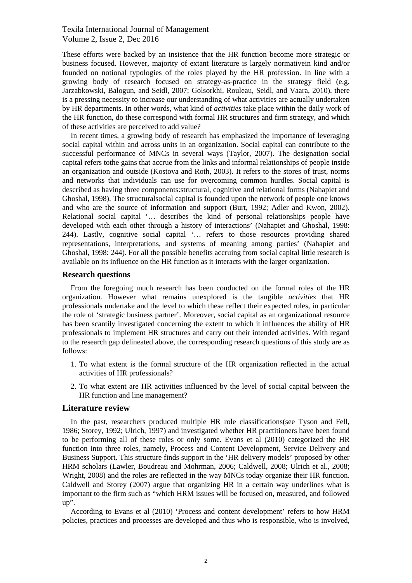These efforts were backed by an insistence that the HR function become more strategic or business focused. However, majority of extant literature is largely normativein kind and/or founded on notional typologies of the roles played by the HR profession. In line with a growing body of research focused on strategy-as-practice in the strategy field (e.g. Jarzabkowski, Balogun, and Seidl, 2007; Golsorkhi, Rouleau, Seidl, and Vaara, 2010), there is a pressing necessity to increase our understanding of what activities are actually undertaken by HR departments. In other words, what kind of *activities* take place within the daily work of the HR function, do these correspond with formal HR structures and firm strategy, and which of these activities are perceived to add value?

In recent times, a growing body of research has emphasized the importance of leveraging social capital within and across units in an organization. Social capital can contribute to the successful performance of MNCs in several ways (Taylor, 2007). The designation social capital refers tothe gains that accrue from the links and informal relationships of people inside an organization and outside (Kostova and Roth, 2003). It refers to the stores of trust, norms and networks that individuals can use for overcoming common hurdles. Social capital is described as having three components:structural, cognitive and relational forms (Nahapiet and Ghoshal, 1998). The structuralsocial capital is founded upon the network of people one knows and who are the source of information and support (Burt, 1992; Adler and Kwon, 2002). Relational social capital '… describes the kind of personal relationships people have developed with each other through a history of interactions' (Nahapiet and Ghoshal, 1998: 244). Lastly, cognitive social capital '… refers to those resources providing shared representations, interpretations, and systems of meaning among parties' (Nahapiet and Ghoshal, 1998: 244). For all the possible benefits accruing from social capital little research is available on its influence on the HR function as it interacts with the larger organization.

#### **Research questions**

From the foregoing much research has been conducted on the formal roles of the HR organization. However what remains unexplored is the tangible *activities* that HR professionals undertake and the level to which these reflect their expected roles, in particular the role of 'strategic business partner'. Moreover, social capital as an organizational resource has been scantily investigated concerning the extent to which it influences the ability of HR professionals to implement HR structures and carry out their intended activities. With regard to the research gap delineated above, the corresponding research questions of this study are as follows:

- 1. To what extent is the formal structure of the HR organization reflected in the actual activities of HR professionals?
- 2. To what extent are HR activities influenced by the level of social capital between the HR function and line management?

#### **Literature review**

In the past, researchers produced multiple HR role classifications(see Tyson and Fell, 1986; Storey, 1992; Ulrich, 1997) and investigated whether HR practitioners have been found to be performing all of these roles or only some. Evans et al (2010) categorized the HR function into three roles, namely, Process and Content Development, Service Delivery and Business Support. This structure finds support in the 'HR delivery models' proposed by other HRM scholars (Lawler, Boudreau and Mohrman, 2006; Caldwell, 2008; Ulrich et al., 2008; Wright, 2008) and the roles are reflected in the way MNCs today organize their HR function. Caldwell and Storey (2007) argue that organizing HR in a certain way underlines what is important to the firm such as "which HRM issues will be focused on, measured, and followed up".

According to Evans et al (2010) 'Process and content development' refers to how HRM policies, practices and processes are developed and thus who is responsible, who is involved,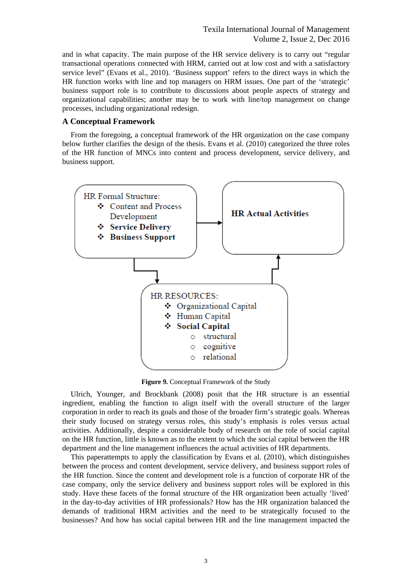and in what capacity. The main purpose of the HR service delivery is to carry out "regular transactional operations connected with HRM, carried out at low cost and with a satisfactory service level" (Evans et al., 2010). 'Business support' refers to the direct ways in which the HR function works with line and top managers on HRM issues. One part of the 'strategic' business support role is to contribute to discussions about people aspects of strategy and organizational capabilities; another may be to work with line/top management on change processes, including organizational redesign.

#### **A Conceptual Framework**

From the foregoing, a conceptual framework of the HR organization on the case company below further clarifies the design of the thesis. Evans et al. (2010) categorized the three roles of the HR function of MNCs into content and process development, service delivery, and business support.



**Figure 9.** Conceptual Framework of the Study

Ulrich, Younger, and Brockbank (2008) posit that the HR structure is an essential ingredient, enabling the function to align itself with the overall structure of the larger corporation in order to reach its goals and those of the broader firm's strategic goals. Whereas their study focused on strategy versus roles, this study's emphasis is roles versus actual activities. Additionally, despite a considerable body of research on the role of social capital on the HR function, little is known as to the extent to which the social capital between the HR department and the line management influences the actual activities of HR departments.

This paperattempts to apply the classification by Evans et al. (2010), which distinguishes between the process and content development, service delivery, and business support roles of the HR function. Since the content and development role is a function of corporate HR of the case company, only the service delivery and business support roles will be explored in this study. Have these facets of the formal structure of the HR organization been actually 'lived' in the day-to-day activities of HR professionals? How has the HR organization balanced the demands of traditional HRM activities and the need to be strategically focused to the businesses? And how has social capital between HR and the line management impacted the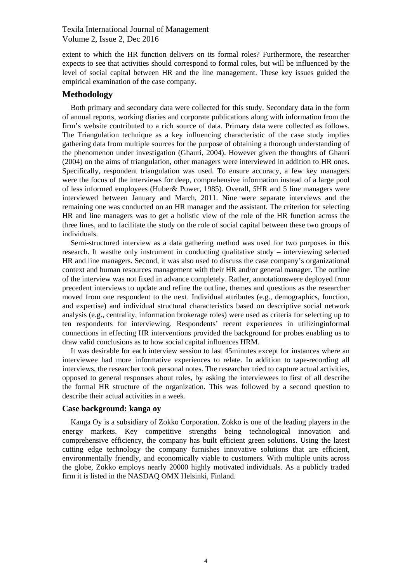extent to which the HR function delivers on its formal roles? Furthermore, the researcher expects to see that activities should correspond to formal roles, but will be influenced by the level of social capital between HR and the line management. These key issues guided the empirical examination of the case company.

#### **Methodology**

Both primary and secondary data were collected for this study. Secondary data in the form of annual reports, working diaries and corporate publications along with information from the firm's website contributed to a rich source of data. Primary data were collected as follows. The Triangulation technique as a key influencing characteristic of the case study implies gathering data from multiple sources for the purpose of obtaining a thorough understanding of the phenomenon under investigation (Ghauri, 2004). However given the thoughts of Ghauri (2004) on the aims of triangulation, other managers were interviewed in addition to HR ones. Specifically, respondent triangulation was used. To ensure accuracy, a few key managers were the focus of the interviews for deep, comprehensive information instead of a large pool of less informed employees (Huber& Power, 1985). Overall, *5*HR and 5 line managers were interviewed between January and March, 2011. Nine were separate interviews and the remaining one was conducted on an HR manager and the assistant. The criterion for selecting HR and line managers was to get a holistic view of the role of the HR function across the three lines, and to facilitate the study on the role of social capital between these two groups of individuals.

Semi-structured interview as a data gathering method was used for two purposes in this research. It wasthe only instrument in conducting qualitative study – interviewing selected HR and line managers. Second, it was also used to discuss the case company's organizational context and human resources management with their HR and/or general manager. The outline of the interview was not fixed in advance completely. Rather, annotationswere deployed from precedent interviews to update and refine the outline, themes and questions as the researcher moved from one respondent to the next. Individual attributes (e.g., demographics, function, and expertise) and individual structural characteristics based on descriptive social network analysis (e.g., centrality, information brokerage roles) were used as criteria for selecting up to ten respondents for interviewing. Respondents' recent experiences in utilizinginformal connections in effecting HR interventions provided the background for probes enabling us to draw valid conclusions as to how social capital influences HRM.

It was desirable for each interview session to last 45minutes except for instances where an interviewee had more informative experiences to relate. In addition to tape-recording all interviews, the researcher took personal notes. The researcher tried to capture actual activities, opposed to general responses about roles, by asking the interviewees to first of all describe the formal HR structure of the organization. This was followed by a second question to describe their actual activities in a week.

#### **Case background: kanga oy**

Kanga Oy is a subsidiary of Zokko Corporation. Zokko is one of the leading players in the energy markets. Key competitive strengths being technological innovation and comprehensive efficiency, the company has built efficient green solutions. Using the latest cutting edge technology the company furnishes innovative solutions that are efficient, environmentally friendly, and economically viable to customers. With multiple units across the globe, Zokko employs nearly 20000 highly motivated individuals. As a publicly traded firm it is listed in the NASDAQ OMX Helsinki, Finland.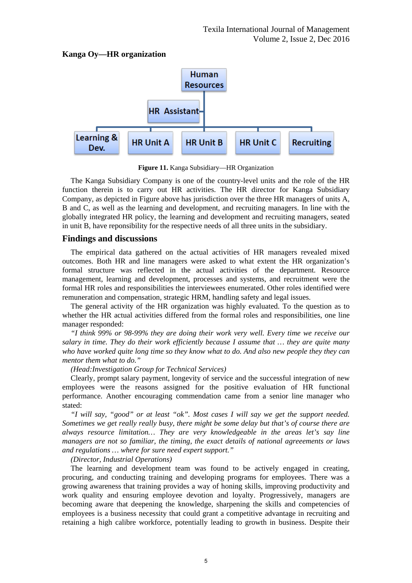



**Figure 11.** Kanga Subsidiary—HR Organization

The Kanga Subsidiary Company is one of the country-level units and the role of the HR function therein is to carry out HR activities. The HR director for Kanga Subsidiary Company, as depicted in Figure above has jurisdiction over the three HR managers of units A, B and C, as well as the learning and development, and recruiting managers. In line with the globally integrated HR policy, the learning and development and recruiting managers, seated in unit B, have reponsibility for the respective needs of all three units in the subsidiary.

# **Findings and discussions**

The empirical data gathered on the actual activities of HR managers revealed mixed outcomes. Both HR and line managers were asked to what extent the HR organization's formal structure was reflected in the actual activities of the department. Resource management, learning and development, processes and systems, and recruitment were the formal HR roles and responsibilities the interviewees enumerated. Other roles identified were remuneration and compensation, strategic HRM, handling safety and legal issues.

The general activity of the HR organization was highly evaluated. To the question as to whether the HR actual activities differed from the formal roles and responsibilities, one line manager responded:

*"I think 99% or 98-99% they are doing their work very well. Every time we receive our salary in time. They do their work efficiently because I assume that … they are quite many who have worked quite long time so they know what to do. And also new people they they can mentor them what to do."* 

#### *(Head:Investigation Group for Technical Services)*

Clearly, prompt salary payment, longevity of service and the successful integration of new employees were the reasons assigned for the positive evaluation of HR functional performance. Another encouraging commendation came from a senior line manager who stated:

*"I will say, "good" or at least "ok". Most cases I will say we get the support needed. Sometimes we get really really busy, there might be some delay but that's of course there are always resource limitation… They are very knowledgeable in the areas let's say line managers are not so familiar, the timing, the exact details of national agreeements or laws and regulations … where for sure need expert support."*

#### *(Director, Industrial Operations)*

The learning and development team was found to be actively engaged in creating, procuring, and conducting training and developing programs for employees. There was a growing awareness that training provides a way of honing skills, improving productivity and work quality and ensuring employee devotion and loyalty. Progressively, managers are becoming aware that deepening the knowledge, sharpening the skills and competencies of employees is a business necessity that could grant a competitive advantage in recruiting and retaining a high calibre workforce, potentially leading to growth in business. Despite their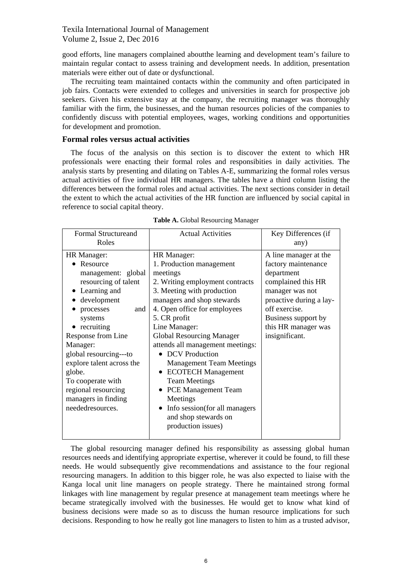good efforts, line managers complained aboutthe learning and development team's failure to maintain regular contact to assess training and development needs. In addition, presentation materials were either out of date or dysfunctional.

The recruiting team maintained contacts within the community and often participated in job fairs. Contacts were extended to colleges and universities in search for prospective job seekers. Given his extensive stay at the company, the recruiting manager was thoroughly familiar with the firm, the businesses, and the human resources policies of the companies to confidently discuss with potential employees, wages, working conditions and opportunities for development and promotion.

#### **Formal roles versus actual activities**

The focus of the analysis on this section is to discover the extent to which HR professionals were enacting their formal roles and responsibities in daily activities. The analysis starts by presenting and dilating on Tables A-E, summarizing the formal roles versus actual activities of five individual HR managers. The tables have a third column listing the differences between the formal roles and actual activities. The next sections consider in detail the extent to which the actual activities of the HR function are influenced by social capital in reference to social capital theory.

| <b>Formal Structureand</b><br>Roles | <b>Actual Activities</b>               | Key Differences (if<br>any) |
|-------------------------------------|----------------------------------------|-----------------------------|
|                                     |                                        |                             |
| HR Manager:                         | HR Manager:                            | A line manager at the       |
| • Resource                          | 1. Production management               | factory maintenance         |
| management: global                  | meetings                               | department                  |
| resourcing of talent                | 2. Writing employment contracts        | complained this HR          |
| • Learning and                      | 3. Meeting with production             | manager was not             |
| development                         | managers and shop stewards             | proactive during a lay-     |
| processes<br>and                    | 4. Open office for employees           | off exercise.               |
| systems                             | 5. CR profit                           | Business support by         |
| • recruiting                        | Line Manager:                          | this HR manager was         |
| Response from Line                  | <b>Global Resourcing Manager</b>       | insignificant.              |
| Manager:                            | attends all management meetings:       |                             |
| global resourcing---to              | • DCV Production                       |                             |
| explore talent across the           | <b>Management Team Meetings</b>        |                             |
| globe.                              | <b>ECOTECH Management</b><br>$\bullet$ |                             |
| To cooperate with                   | <b>Team Meetings</b>                   |                             |
| regional resourcing                 | • PCE Management Team                  |                             |
| managers in finding                 | Meetings                               |                             |
| neededresources.                    | Info session (for all managers         |                             |
|                                     | and shop stewards on                   |                             |
|                                     | production issues)                     |                             |
|                                     |                                        |                             |

**Table A.** Global Resourcing Manager

The global resourcing manager defined his responsibility as assessing global human resources needs and identifying appropriate expertise, wherever it could be found, to fill these needs. He would subsequently give recommendations and assistance to the four regional resourcing managers. In addition to this bigger role, he was also expected to liaise with the Kanga local unit line managers on people strategy. There he maintained strong formal linkages with line management by regular presence at management team meetings where he became strategically involved with the businesses. He would get to know what kind of business decisions were made so as to discuss the human resource implications for such decisions. Responding to how he really got line managers to listen to him as a trusted advisor,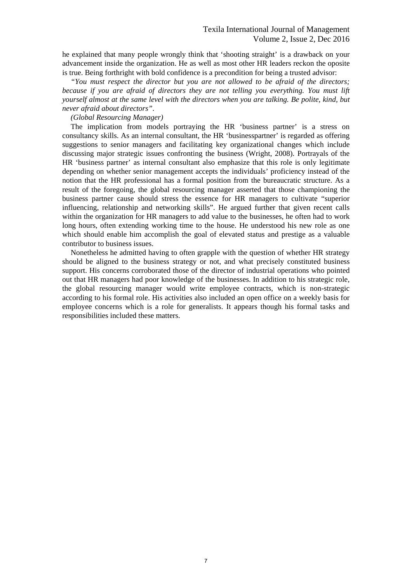he explained that many people wrongly think that 'shooting straight' is a drawback on your advancement inside the organization. He as well as most other HR leaders reckon the oposite is true. Being forthright with bold confidence is a precondition for being a trusted advisor:

*"You must respect the director but you are not allowed to be afraid of the directors; because if you are afraid of directors they are not telling you everything. You must lift yourself almost at the same level with the directors when you are talking. Be polite, kind, but never afraid about directors"*.

#### *(Global Resourcing Manager)*

The implication from models portraying the HR 'business partner' is a stress on consultancy skills. As an internal consultant, the HR 'businesspartner' is regarded as offering suggestions to senior managers and facilitating key organizational changes which include discussing major strategic issues confronting the business (Wright, 2008). Portrayals of the HR 'business partner' as internal consultant also emphasize that this role is only legitimate depending on whether senior management accepts the individuals' proficiency instead of the notion that the HR professional has a formal position from the bureaucratic structure. As a result of the foregoing, the global resourcing manager asserted that those championing the business partner cause should stress the essence for HR managers to cultivate "superior influencing, relationship and networking skills". He argued further that given recent calls within the organization for HR managers to add value to the businesses, he often had to work long hours, often extending working time to the house. He understood his new role as one which should enable him accomplish the goal of elevated status and prestige as a valuable contributor to business issues.

Nonetheless he admitted having to often grapple with the question of whether HR strategy should be aligned to the business strategy or not, and what precisely constituted business support. His concerns corroborated those of the director of industrial operations who pointed out that HR managers had poor knowledge of the businesses. In addition to his strategic role, the global resourcing manager would write employee contracts, which is non-strategic according to his formal role. His activities also included an open office on a weekly basis for employee concerns which is a role for generalists. It appears though his formal tasks and responsibilities included these matters.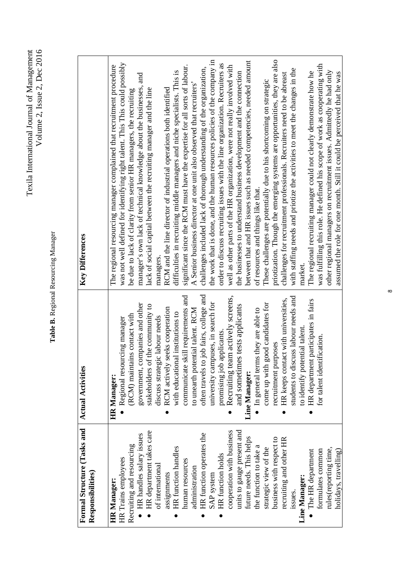| Texila International Journal of Management<br>Volume 2, Issue 2, Dec 2016 |  |
|---------------------------------------------------------------------------|--|
|---------------------------------------------------------------------------|--|

# Table B. Regional Resourcing Manager **Table B.** Regional Resourcing Manager

| Formal Structure (Tasks and<br>Responsibilities) | <b>Actual Activities</b>                | <b>Key Differences</b>                                                       |
|--------------------------------------------------|-----------------------------------------|------------------------------------------------------------------------------|
| <b>HR</b> Manager:                               | <b>HR</b> Manager:                      | The regional resourcing manager complained that recruitment procedure        |
| HR Trains employees                              | Regional resourcing manager             | was not well defined for identifying right talent. This This could possibly  |
| Recruiting and resourcing                        | (RCM) maintains contact with            | be due to lack of clarity from senior HR managers, the recruiting            |
| HR handles salary issues                         | government, companies and other         | manager's own lack of technical knowledge about the businesses, and          |
| HR department takes care                         | stakeholders of the community to        | lack of social capital between the recruiting manager and the line           |
| of international                                 | discuss strategic labour needs          | managers                                                                     |
| assignments                                      | RCM actively seeks cooperation          | RCM and the line director of industrial operations both identified           |
| HR function handles                              | with educational institutions to        | difficulties in recruiting middle managers and niche specialists. This is    |
| human resources                                  | communicate skill requirements and      | significant since the RCM must have the expertise for all sorts of labour.   |
| administration                                   | to unearth potential talent. RCM        | A Senior business director at one unit also observed that recruiters'        |
| HR function operates the                         | often travels to job fairs, college and | challenges included lack of thorough understanding of the organization,      |
| SAP system                                       | university campuses, in search for      | the work that is done, and the human resources policies of the company in    |
| HR function holds                                | promising job applicants                | order to discuss recruiting issues with the line organization. Recruiters as |
| cooperation with business                        | eam actively screens,<br>Recruiting t   | well as other parts of the HR organization, were not really involved with    |
| units to gauge present and                       | and sometimes tests applicants          | the businesses to understand business development and the connection         |
| future needs. This helps                         | Line Manager:                           | between that and HR issues such as needed competencies, needed amount        |
| the function to take a                           | In general terms they are able to       | of resources and things like that.                                           |
| strategic view of the                            | come up with good candidates for        | These challenges are potentially due to his shortcoming on strategic         |
| business with respect to                         | recruitment purposes                    | priotization. Though the emerging systems are opportunities, they are also   |
| recruiting and other HR                          | HR keeps contact with universities,     | challenges for recruitment professionals. Recruiters need to be abreast      |
| issues.                                          | students to discuss labour needs and    | with staffing needs and priotize the activities to meet the changes in the   |
| Line Manager:                                    | to identify potential talent.           | market.                                                                      |
| The HR department                                | HR department participates in fairs     | The regional recruiting manager could not clearly demonstrate how he         |
| formulates common                                | for talent identification.              | was fulfilling this role. He defined his scope of work as cooperating with   |
| rules(reporting time,                            |                                         | other regional managers on recruitment issues. Admittedly he had only        |
| holidays, travelling)                            |                                         | assumed the role for one month. Still it could be perceived that he was      |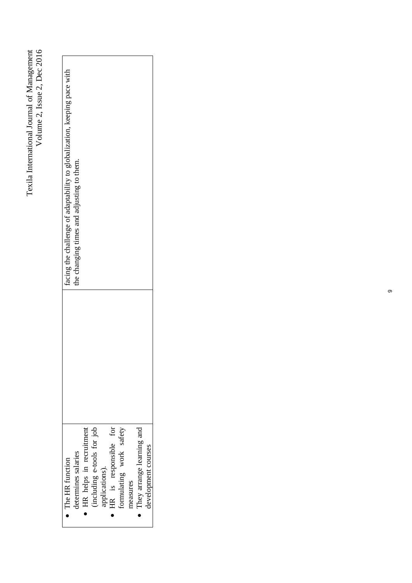| $\bullet$ The HR function  | facing the challenge of adaptability to globalization, keeping pace with |
|----------------------------|--------------------------------------------------------------------------|
| determines salaries        | the changing times and adjusting to them.                                |
| HR helps in recruitment    |                                                                          |
| (including e-tools for job |                                                                          |
| applications).             |                                                                          |
| HR is responsible for      |                                                                          |
| ormulating work safety     |                                                                          |
| neasures                   |                                                                          |
| They arrange learning and  |                                                                          |
| development courses        |                                                                          |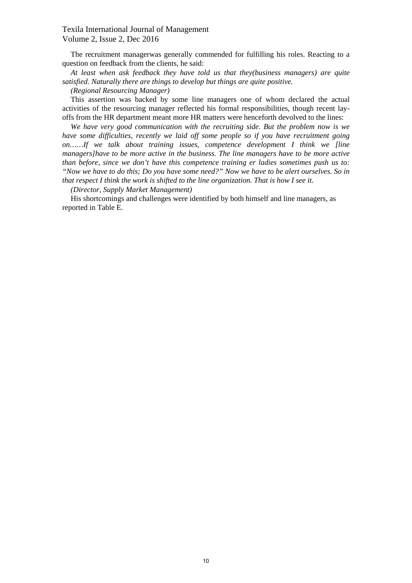The recruitment managerwas generally commended for fulfilling his roles. Reacting to a question on feedback from the clients, he said:

*At least when ask feedback they have told us that they(business managers) are quite satisfied. Naturally there are things to develop but things are quite positive.*

*(Regional Resourcing Manager)*

This assertion was backed by some line managers one of whom declared the actual activities of the resourcing manager reflected his formal responsibilities, though recent layoffs from the HR department meant more HR matters were henceforth devolved to the lines:

*We have very good communication with the recruiting side. But the problem now is we have some difficulties, recently we laid off some people so if you have recruitment going on……If we talk about training issues, competence development I think we [line managers]have to be more active in the business. The line managers have to be more active than before, since we don't have this competence training er ladies sometimes push us to: "Now we have to do this; Do you have some need?" Now we have to be alert ourselves. So in that respect I think the work is shifted to the line organization. That is how I see it.*

*(Director, Supply Market Management)*

His shortcomings and challenges were identified by both himself and line managers, as reported in Table E.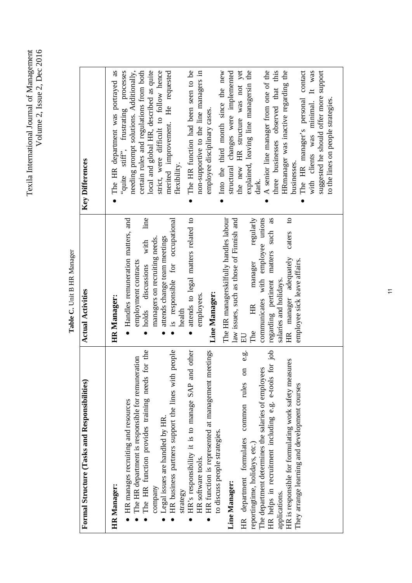Texila International Journal of Management<br>Volume 2, Issue 2, Dec 2016 Texila International Journal of Management Volume 2, Issue 2, Dec 2016

> Table C. Unit B HR Manager **Table C.** Unit B HR Manager

| Formal Structure (Tasks and Responsibilities)                                                                                                                                                                                                                                                                                                                                                                                                                                                                                                                                                                                                                                                                                                                                                              | <b>Actual Activities</b>                                                                                                                                                                                                                                                                                                                                                                                                                                                                                                                                                                                                              | <b>Key Differences</b>                                                                                                                                                                                                                                                                                                                                                                                                                                                                                                                                                                                                                                                                                                                                                                                                                                                 |
|------------------------------------------------------------------------------------------------------------------------------------------------------------------------------------------------------------------------------------------------------------------------------------------------------------------------------------------------------------------------------------------------------------------------------------------------------------------------------------------------------------------------------------------------------------------------------------------------------------------------------------------------------------------------------------------------------------------------------------------------------------------------------------------------------------|---------------------------------------------------------------------------------------------------------------------------------------------------------------------------------------------------------------------------------------------------------------------------------------------------------------------------------------------------------------------------------------------------------------------------------------------------------------------------------------------------------------------------------------------------------------------------------------------------------------------------------------|------------------------------------------------------------------------------------------------------------------------------------------------------------------------------------------------------------------------------------------------------------------------------------------------------------------------------------------------------------------------------------------------------------------------------------------------------------------------------------------------------------------------------------------------------------------------------------------------------------------------------------------------------------------------------------------------------------------------------------------------------------------------------------------------------------------------------------------------------------------------|
| meetings<br>HR helps in recruitment including e.g. e-tools for job<br>for the<br>HR business partners support the lines with people<br>HR's responsibility it is to manage SAP and other<br>on $e.g.$<br>The HR department is responsible for remuneration<br>HR is responsible for formulating work safety measures<br>The department determines the salaries of employees<br>The HR function provides training needs<br>HR function is represented at management<br>common rules<br>They arrange learning and development courses<br>HR manages recruiting and resources<br>Legal issues are handled by HR.<br>to discuss people strategies.<br>HR department formulates<br>reportingtime, holidays, etc.)<br>HR software tools.<br>Line Manager:<br>HR Manager:<br>company<br>strategy<br>applications. | line<br>The HR managerskilfully handles labour<br>communicates with employee unions<br>regarding pertinent matters such as<br>$\mathbf{c}$<br>Handles remuneration matters, and<br>is responsible for occupational<br>attends to legal matters related to<br>law issues, such as those of Finnish and<br>regularly<br>caters<br>attends change team meetings<br>managers on recruiting needs.<br>with<br>HR manager adequately<br>employee sick leave affairs.<br>employment contracts<br>manager<br>discussions<br>salaries and holidays.<br>Line Manager:<br>employees.<br>HR Manager:<br>holds<br>H<br>health<br>The<br>$_{\rm H}$ | The HR manager's personal contact<br>suggested he should offer more support<br>"quite stiff", frustrating processes<br>needing prompt solutions. Additionally,<br>local and global HR, described as quite<br>strict, were difficult to follow hence<br>The HR function had been seen to be<br>Into the third month since the new<br>the new HR structure was not yet<br>with clients was minimal. It was<br>The HR department was portrayed as<br>merited improvement. He requested<br>non-supportive to the line managers in<br>structural changes were implemented<br>explained, leaving line managersin the<br>A senior line manager from one of the<br>three businesses observed that this<br>HRmanager was inactive regarding the<br>certain rules and regulations from both<br>employee disciplinary cases.<br>businesses.<br>flexibility.<br>dark.<br>$\bullet$ |
|                                                                                                                                                                                                                                                                                                                                                                                                                                                                                                                                                                                                                                                                                                                                                                                                            |                                                                                                                                                                                                                                                                                                                                                                                                                                                                                                                                                                                                                                       | to the lines on people strategies.                                                                                                                                                                                                                                                                                                                                                                                                                                                                                                                                                                                                                                                                                                                                                                                                                                     |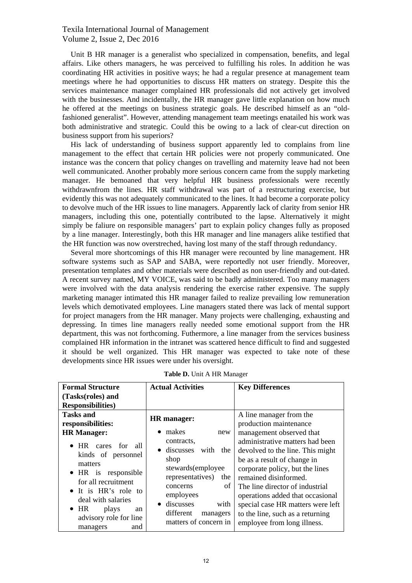Unit B HR manager is a generalist who specialized in compensation, benefits, and legal affairs. Like others managers, he was perceived to fulfilling his roles. In addition he was coordinating HR activities in positive ways; he had a regular presence at management team meetings where he had opportunities to discuss HR matters on strategy. Despite this the services maintenance manager complained HR professionals did not actively get involved with the businesses. And incidentally, the HR manager gave little explanation on how much he offered at the meetings on business strategic goals. He described himself as an "oldfashioned generalist". However, attending management team meetings enatailed his work was both administrative and strategic. Could this be owing to a lack of clear-cut direction on business support from his superiors?

His lack of understanding of business support apparently led to complains from line management to the effect that certain HR policies were not properly communicated. One instance was the concern that policy changes on travelling and maternity leave had not been well communicated. Another probably more serious concern came from the supply marketing manager. He bemoaned that very helpful HR business professionals were recently withdrawnfrom the lines. HR staff withdrawal was part of a restructuring exercise, but evidently this was not adequately communicated to the lines. It had become a corporate policy to devolve much of the HR issues to line managers. Apparently lack of clarity from senior HR managers, including this one, potentially contributed to the lapse. Alternatively it might simply be faliure on responsible managers' part to explain policy changes fully as proposed by a line manager. Interestingly, both this HR manager and line managers alike testified that the HR function was now overstreched, having lost many of the staff through redundancy.

Several more shortcomings of this HR manager were recounted by line management. HR software systems such as SAP and SABA, were reportedly not user friendly. Moreover, presentation templates and other materials were described as non user-friendly and out-dated. A recent survey named, MY VOICE, was said to be badly administered. Too many managers were involved with the data analysis rendering the exercise rather expensive. The supply marketing manager intimated this HR manager failed to realize prevailing low remuneration levels which demotivated employees. Line managers stated there was lack of mental support for project managers from the HR manager. Many projects were challenging, exhausting and depressing. In times line managers really needed some emotional support from the HR department, this was not forthcoming. Futhermore, a line manager from the services business complained HR information in the intranet was scattered hence difficult to find and suggested it should be well organized. This HR manager was expected to take note of these developments since HR issues were under his oversight.

| <b>Formal Structure</b>                                                                                                                                                                                                                                      | <b>Actual Activities</b>                                                                                                                                                                               | <b>Key Differences</b>                                                                                                                                                                                                                                                                                                                                                                          |
|--------------------------------------------------------------------------------------------------------------------------------------------------------------------------------------------------------------------------------------------------------------|--------------------------------------------------------------------------------------------------------------------------------------------------------------------------------------------------------|-------------------------------------------------------------------------------------------------------------------------------------------------------------------------------------------------------------------------------------------------------------------------------------------------------------------------------------------------------------------------------------------------|
| (Tasks(roles) and                                                                                                                                                                                                                                            |                                                                                                                                                                                                        |                                                                                                                                                                                                                                                                                                                                                                                                 |
| <b>Responsibilities</b> )                                                                                                                                                                                                                                    |                                                                                                                                                                                                        |                                                                                                                                                                                                                                                                                                                                                                                                 |
| <b>Tasks and</b><br>responsibilities:<br><b>HR</b> Manager:<br>• HR cares for<br>-all<br>kinds of personnel<br>matters<br>$\bullet$ HR is<br>responsible<br>for all recruitment<br>• It is HR's role to<br>deal with salaries<br>$\bullet$ HR<br>plays<br>an | HR manager:<br>makes<br>new<br>contracts.<br>• discusses with the<br>shop<br>stewards(employee<br>representatives)<br>the<br>of<br>concerns<br>employees<br>discusses<br>with<br>different<br>managers | A line manager from the<br>production maintenance<br>management observed that<br>administrative matters had been<br>devolved to the line. This might<br>be as a result of change in<br>corporate policy, but the lines<br>remained disinformed.<br>The line director of industrial<br>operations added that occasional<br>special case HR matters were left<br>to the line, such as a returning |
| advisory role for line<br>and<br>managers                                                                                                                                                                                                                    | matters of concern in                                                                                                                                                                                  | employee from long illness.                                                                                                                                                                                                                                                                                                                                                                     |

|  |  |  | Table D. Unit A HR Manager |
|--|--|--|----------------------------|
|--|--|--|----------------------------|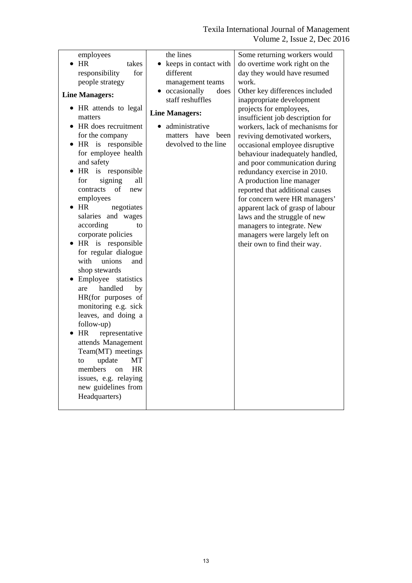| employees                  | the lines               | Some returning workers would     |
|----------------------------|-------------------------|----------------------------------|
| HR                         |                         |                                  |
| takes                      | keeps in contact with   | do overtime work right on the    |
| for<br>responsibility      | different               | day they would have resumed      |
| people strategy            | management teams        | work.                            |
| <b>Line Managers:</b>      | • occasionally<br>does  | Other key differences included   |
|                            | staff reshuffles        | inappropriate development        |
| • HR attends to legal      | <b>Line Managers:</b>   | projects for employees,          |
| matters                    |                         | insufficient job description for |
| HR does recruitment        | administrative          | workers, lack of mechanisms for  |
| for the company            | matters<br>have<br>been | reviving demotivated workers,    |
| • HR is responsible        | devolved to the line    | occasional employee disruptive   |
| for employee health        |                         | behaviour inadequately handled,  |
| and safety                 |                         | and poor communication during    |
| HR is responsible          |                         | redundancy exercise in 2010.     |
| signing<br>all<br>for      |                         | A production line manager        |
| contracts<br>of<br>new     |                         | reported that additional causes  |
| employees                  |                         | for concern were HR managers'    |
| HR<br>negotiates           |                         | apparent lack of grasp of labour |
| salaries and wages         |                         | laws and the struggle of new     |
| according<br>to            |                         | managers to integrate. New       |
| corporate policies         |                         | managers were largely left on    |
| HR is responsible          |                         | their own to find their way.     |
| for regular dialogue       |                         |                                  |
| with<br>unions<br>and      |                         |                                  |
| shop stewards              |                         |                                  |
| Employee<br>statistics     |                         |                                  |
| handled<br>by<br>are       |                         |                                  |
| HR(for purposes of         |                         |                                  |
| monitoring e.g. sick       |                         |                                  |
| leaves, and doing a        |                         |                                  |
| follow-up)                 |                         |                                  |
| HR<br>representative       |                         |                                  |
| attends Management         |                         |                                  |
| Team(MT) meetings          |                         |                                  |
| update<br><b>MT</b><br>to  |                         |                                  |
| <b>HR</b><br>members<br>on |                         |                                  |
| issues, e.g. relaying      |                         |                                  |
| new guidelines from        |                         |                                  |
|                            |                         |                                  |
| Headquarters)              |                         |                                  |
|                            |                         |                                  |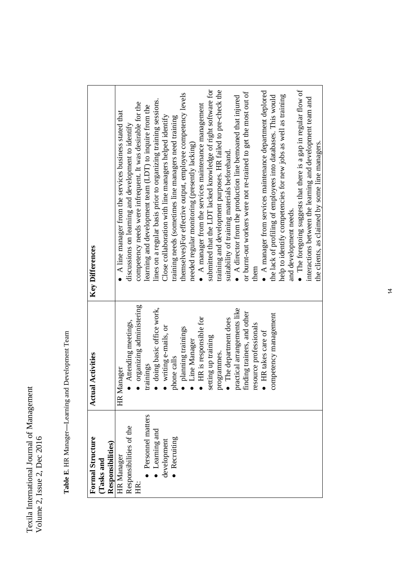Table E. HR Manager-Learning and Development Team **Table E**. HR Manager**—**Learning and Development Team

| <b>Formal Structure</b><br>Tasks and | ctual Activities            | <b>Key Differences</b>                                              |
|--------------------------------------|-----------------------------|---------------------------------------------------------------------|
| Responsibilities)                    |                             |                                                                     |
| HR Manager                           | HR Manager                  | A line manager from the services business stated that               |
| Responsibilities of the              | Attending meetings,         | discussions on learning and development to identify                 |
| 庄.                                   | organizing administering    | competency needs were infrequent. It was desirable for the          |
| Personnel matters                    | trainings                   | learning and development team (LDT) to inquire from the             |
| Learning and                         | doing basic office work,    | lines on a regular basis prior to organizing training sessions.     |
| development                          | writing e-mails, or         | Close collaboration with line managers helped identify              |
| · Recruiting                         | phone calls                 | training needs (sometimes line managers need training               |
|                                      | planning trainings          | themselves)For effective output, employee competency levels         |
|                                      | Line Manager                | needed regular monitoring (presently lacking)                       |
|                                      | HR is responsible for       | $\bullet$ A manager from the services maintenance management        |
|                                      | setting up training         | submitted that the LDT lacked knowledge of right software for       |
|                                      | programmes.                 | training and development purposes. HR failed to pre-check the       |
|                                      | The department does         | suitability of training materials beforehand.                       |
|                                      | practical arrangements like | $\bullet$ A director from the production line bemoaned that injured |
|                                      | finding trainers, and other | or burnt-out workers were not re-trained to get the most out of     |
|                                      | resource professionals      | them                                                                |
|                                      | · HR takes care of          | $\bullet$ A manager from services maintenance department deplored   |
|                                      | competency management       | the lack of profiling of employees into databases. This would       |
|                                      |                             | help to identify competencies for new jobs as well as training      |
|                                      |                             | and development needs.                                              |
|                                      |                             | The foregoing suggests that there is a gap in regular flow of       |
|                                      |                             | interactions between the learning and development team and          |
|                                      |                             | the clients, as claimed by some line managers.                      |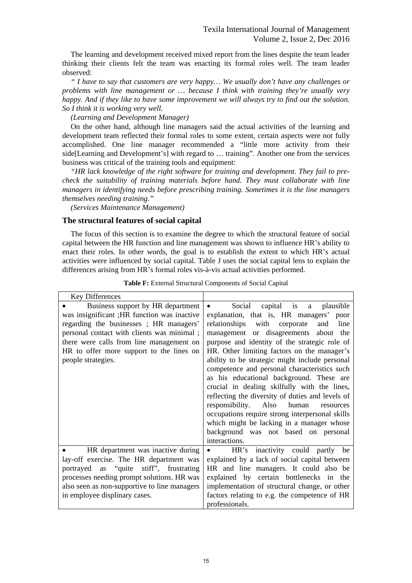The learning and development received mixed report from the lines despite the team leader thinking their clients felt the team was enacting its formal roles well. The team leader observed:

*" I have to say that customers are very happy… We usually don't have any challenges or problems with line management or … because I think with training they're usually very happy. And if they like to have some improvement we will always try to find out the solution. So I think it is working very well.*

*(Learning and Development Manager)*

On the other hand, although line managers said the actual activities of the learning and development team reflected their formal roles to some extent, certain aspects were not fully accomplished. One line manager recommended a "little more activity from their side[Learning and Development's] with regard to … training". Another one from the services business was critical of the training tools and equipment:

*"HR lack knowledge of the right software for training and development. They fail to precheck the suitability of training materials before hand. They must collaborate with line managers in identifying needs before prescribing training. Sometimes it is the line managers themselves needing training."*

*(Services Maintenance Management)*

## **The structural features of social capital**

The focus of this section is to examine the degree to which the structural feature of social capital between the HR function and line management was shown to influence HR's ability to enact their roles. In other words, the goal is to establish the extent to which HR's actual activities were influenced by social capital. Table J uses the social capital lens to explain the differences arising from HR's formal roles vis-à-vis actual activities performed.

| <b>Key Differences</b>                                                                                                                                                                                                                                                                  |                                                                                                                                                                                                                                                                                                                                                                                                                                                                                                                                                                                                                                                                               |
|-----------------------------------------------------------------------------------------------------------------------------------------------------------------------------------------------------------------------------------------------------------------------------------------|-------------------------------------------------------------------------------------------------------------------------------------------------------------------------------------------------------------------------------------------------------------------------------------------------------------------------------------------------------------------------------------------------------------------------------------------------------------------------------------------------------------------------------------------------------------------------------------------------------------------------------------------------------------------------------|
| Business support by HR department<br>was insignificant ; HR function was inactive<br>regarding the businesses; HR managers'<br>personal contact with clients was minimal;<br>there were calls from line management on<br>HR to offer more support to the lines on<br>people strategies. | Social capital is a plausible<br>$\bullet$<br>explanation, that is, HR managers' poor<br>relationships<br>with corporate<br>line<br>and<br>management or disagreements about the<br>purpose and identity of the strategic role of<br>HR. Other limiting factors on the manager's<br>ability to be strategic might include personal<br>competence and personal characteristics such<br>as his educational background. These are<br>crucial in dealing skilfully with the lines,<br>reflecting the diversity of duties and levels of<br>responsibility. Also human<br>resources<br>occupations require strong interpersonal skills<br>which might be lacking in a manager whose |
|                                                                                                                                                                                                                                                                                         | background was not based on personal<br>interactions.                                                                                                                                                                                                                                                                                                                                                                                                                                                                                                                                                                                                                         |
| HR department was inactive during<br>lay-off exercise. The HR department was<br>portrayed as "quite stiff", frustrating<br>processes needing prompt solutions. HR was<br>also seen as non-supportive to line managers<br>in employee displinary cases.                                  | HR's inactivity could partly be<br>$\bullet$<br>explained by a lack of social capital between<br>HR and line managers. It could also be<br>explained by certain bottlenecks in the<br>implementation of structural change, or other<br>factors relating to e.g. the competence of HR<br>professionals.                                                                                                                                                                                                                                                                                                                                                                        |

**Table F:** External Structural Components of Social Capital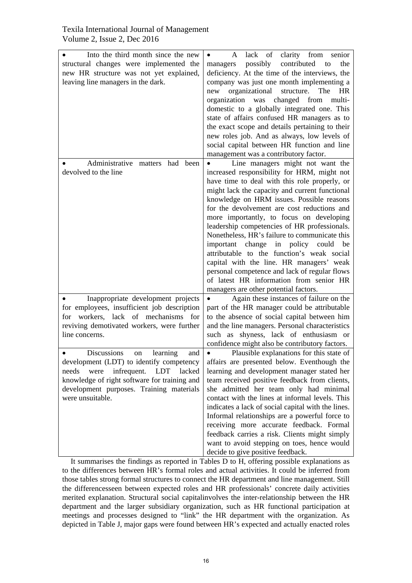| Into the third month since the new<br>structural changes were implemented the<br>new HR structure was not yet explained,<br>leaving line managers in the dark.                                                                                                  | lack<br>of<br>clarity from<br>A<br>senior<br>contributed<br>possibly<br>managers<br>to<br>the<br>deficiency. At the time of the interviews, the<br>company was just one month implementing a<br>organizational<br>new<br>structure.<br>The<br>HR<br>organization<br>was changed<br>from<br>multi-<br>domestic to a globally integrated one. This<br>state of affairs confused HR managers as to<br>the exact scope and details pertaining to their<br>new roles job. And as always, low levels of<br>social capital between HR function and line<br>management was a contributory factor.                                                                                                            |
|-----------------------------------------------------------------------------------------------------------------------------------------------------------------------------------------------------------------------------------------------------------------|------------------------------------------------------------------------------------------------------------------------------------------------------------------------------------------------------------------------------------------------------------------------------------------------------------------------------------------------------------------------------------------------------------------------------------------------------------------------------------------------------------------------------------------------------------------------------------------------------------------------------------------------------------------------------------------------------|
| Administrative matters had been<br>devolved to the line                                                                                                                                                                                                         | Line managers might not want the<br>increased responsibility for HRM, might not<br>have time to deal with this role properly, or<br>might lack the capacity and current functional<br>knowledge on HRM issues. Possible reasons<br>for the devolvement are cost reductions and<br>more importantly, to focus on developing<br>leadership competencies of HR professionals.<br>Nonetheless, HR's failure to communicate this<br>important change in policy could<br>be<br>attributable to the function's weak social<br>capital with the line. HR managers' weak<br>personal competence and lack of regular flows<br>of latest HR information from senior HR<br>managers are other potential factors. |
| Inappropriate development projects<br>for employees, insufficient job description<br>lack of mechanisms for<br>workers,<br>for<br>reviving demotivated workers, were further<br>line concerns.                                                                  | Again these instances of failure on the<br>part of the HR manager could be attributable<br>to the absence of social capital between him<br>and the line managers. Personal characteristics<br>such as shyness, lack of enthusiasm or<br>confidence might also be contributory factors.                                                                                                                                                                                                                                                                                                                                                                                                               |
| <b>Discussions</b><br>learning<br>and<br>on<br>development (LDT) to identify competency<br><b>LDT</b><br>needs<br>were<br>infrequent.<br>lacked<br>knowledge of right software for training and<br>development purposes. Training materials<br>were unsuitable. | Plausible explanations for this state of<br>affairs are presented below. Eventhough the<br>learning and development manager stated her<br>team received positive feedback from clients,<br>she admitted her team only had minimal<br>contact with the lines at informal levels. This<br>indicates a lack of social capital with the lines.<br>Informal relationships are a powerful force to<br>receiving more accurate feedback. Formal<br>feedback carries a risk. Clients might simply<br>want to avoid stepping on toes, hence would<br>decide to give positive feedback.                                                                                                                        |

It summarises the findings as reported in Tables D to H, offering possible explanations as to the differences between HR's formal roles and actual activities. It could be inferred from those tables strong formal structures to connect the HR department and line management. Still the differencesseen between expected roles and HR professionals' concrete daily activities merited explanation. Structural social capitalinvolves the inter-relationship between the HR department and the larger subsidiary organization, such as HR functional participation at meetings and processes designed to "link" the HR department with the organization. As depicted in Table J, major gaps were found between HR's expected and actually enacted roles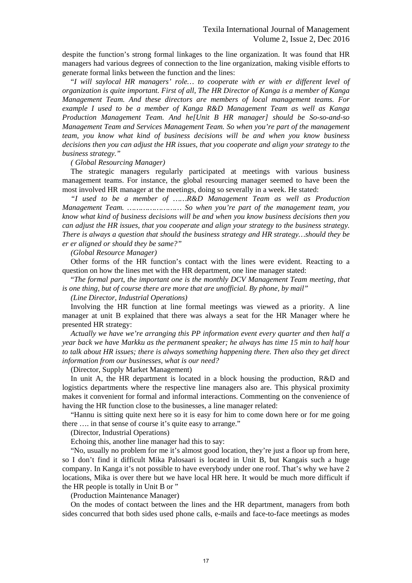despite the function's strong formal linkages to the line organization. It was found that HR managers had various degrees of connection to the line organization, making visible efforts to generate formal links between the function and the lines:

"*I will saylocal HR managers' role… to cooperate with er with er different level of organization is quite important. First of all, The HR Director of Kanga is a member of Kanga Management Team. And these directors are members of local management teams. For example I used to be a member of Kanga R&D Management Team as well as Kanga Production Management Team. And he[Unit B HR manager] should be So-so-and-so Management Team and Services Management Team. So when you're part of the management team, you know what kind of business decisions will be and when you know business decisions then you can adjust the HR issues, that you cooperate and align your strategy to the business strategy."*

#### *( Global Resourcing Manager)*

The strategic managers regularly participated at meetings with various business management teams. For instance, the global resourcing manager seemed to have been the most involved HR manager at the meetings, doing so severally in a week. He stated:

*"I used to be a member of ……R&D Management Team as well as Production Management Team. …………………… So when you're part of the management team, you know what kind of business decisions will be and when you know business decisions then you can adjust the HR issues, that you cooperate and align your strategy to the business strategy. There is always a question that should the business strategy and HR strategy…should they be er er aligned or should they be same?"*

*(Global Resource Manager)*

Other forms of the HR function's contact with the lines were evident. Reacting to a question on how the lines met with the HR department, one line manager stated:

"*The formal part, the important one is the monthly DCV Management Team meeting, that is one thing, but of course there are more that are unofficial. By phone, by mail"* 

*(Line Director, Industrial Operations)*

Involving the HR function at line formal meetings was viewed as a priority. A line manager at unit B explained that there was always a seat for the HR Manager where he presented HR strategy:

*Actually we have we're arranging this PP information event every quarter and then half a year back we have Markku as the permanent speaker; he always has time 15 min to half hour to talk about HR issues; there is always something happening there. Then also they get direct information from our businesses, what is our need?*

(Director, Supply Market Management)

In unit A, the HR department is located in a block housing the production, R&D and logistics departments where the respective line managers also are. This physical proximity makes it convenient for formal and informal interactions. Commenting on the convenience of having the HR function close to the businesses, a line manager related:

"Hannu is sitting quite next here so it is easy for him to come down here or for me going there …. in that sense of course it's quite easy to arrange."

(Director, Industrial Operations)

Echoing this, another line manager had this to say:

"No, usually no problem for me it's almost good location, they're just a floor up from here, so I don't find it difficult Mika Palosaari is located in Unit B, but Kangais such a huge company. In Kanga it's not possible to have everybody under one roof. That's why we have 2 locations, Mika is over there but we have local HR here. It would be much more difficult if the HR people is totally in Unit B or "

(Production Maintenance Manager)

On the modes of contact between the lines and the HR department, managers from both sides concurred that both sides used phone calls, e-mails and face-to-face meetings as modes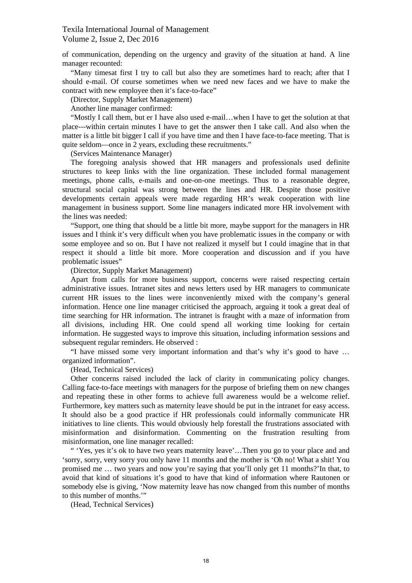of communication, depending on the urgency and gravity of the situation at hand. A line manager recounted:

"Many timesat first I try to call but also they are sometimes hard to reach; after that I should e-mail. Of course sometimes when we need new faces and we have to make the contract with new employee then it's face-to-face"

(Director, Supply Market Management)

Another line manager confirmed:

"Mostly I call them, but er I have also used e-mail…when I have to get the solution at that place---within certain minutes I have to get the answer then I take call. And also when the matter is a little bit bigger I call if you have time and then I have face-to-face meeting. That is quite seldom—once in 2 years, excluding these recruitments."

(Services Maintenance Manager)

The foregoing analysis showed that HR managers and professionals used definite structures to keep links with the line organization. These included formal management meetings, phone calls, e-mails and one-on-one meetings. Thus to a reasonable degree, structural social capital was strong between the lines and HR. Despite those positive developments certain appeals were made regarding HR's weak cooperation with line management in business support. Some line managers indicated more HR involvement with the lines was needed:

"Support, one thing that should be a little bit more, maybe support for the managers in HR issues and I think it's very difficult when you have problematic issues in the company or with some employee and so on. But I have not realized it myself but I could imagine that in that respect it should a little bit more. More cooperation and discussion and if you have problematic issues"

(Director, Supply Market Management)

Apart from calls for more business support, concerns were raised respecting certain administrative issues. Intranet sites and news letters used by HR managers to communicate current HR issues to the lines were inconveniently mixed with the company's general information. Hence one line manager criticised the approach, arguing it took a great deal of time searching for HR information. The intranet is fraught with a maze of information from all divisions, including HR. One could spend all working time looking for certain information. He suggested ways to improve this situation, including information sessions and subsequent regular reminders. He observed :

"I have missed some very important information and that's why it's good to have … organized information".

(Head, Technical Services)

Other concerns raised included the lack of clarity in communicating policy changes. Calling face-to-face meetings with managers for the purpose of briefing them on new changes and repeating these in other forms to achieve full awareness would be a welcome relief. Furthermore, key matters such as maternity leave should be put in the intranet for easy access. It should also be a good practice if HR professionals could informally communicate HR initiatives to line clients. This would obviously help forestall the frustrations associated with misinformation and disinformation. Commenting on the frustration resulting from misinformation, one line manager recalled:

" 'Yes, yes it's ok to have two years maternity leave'…Then you go to your place and and 'sorry, sorry, very sorry you only have 11 months and the mother is 'Oh no! What a shit! You promised me … two years and now you're saying that you'll only get 11 months?'In that, to avoid that kind of situations it's good to have that kind of information where Rautonen or somebody else is giving, 'Now maternity leave has now changed from this number of months to this number of months.'"

(Head, Technical Services)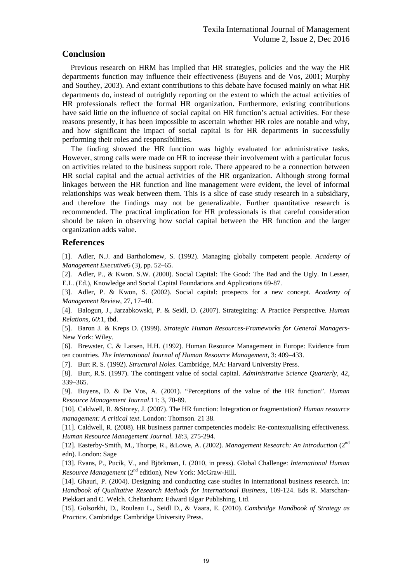## **Conclusion**

Previous research on HRM has implied that HR strategies, policies and the way the HR departments function may influence their effectiveness (Buyens and de Vos, 2001; Murphy and Southey, 2003). And extant contributions to this debate have focused mainly on what HR departments do, instead of outrightly reporting on the extent to which the actual activities of HR professionals reflect the formal HR organization. Furthermore, existing contributions have said little on the influence of social capital on HR function's actual activities. For these reasons presently, it has been impossible to ascertain whether HR roles are notable and why, and how significant the impact of social capital is for HR departments in successfully performing their roles and responsibilities.

The finding showed the HR function was highly evaluated for administrative tasks. However, strong calls were made on HR to increase their involvement with a particular focus on activities related to the business support role. There appeared to be a connection between HR social capital and the actual activities of the HR organization. Although strong formal linkages between the HR function and line management were evident, the level of informal relationships was weak between them. This is a slice of case study research in a subsidiary, and therefore the findings may not be generalizable. Further quantitative research is recommended. The practical implication for HR professionals is that careful consideration should be taken in observing how social capital between the HR function and the larger organization adds value.

## **References**

[1]. Adler, N.J. and Bartholomew, S. (1992). Managing globally competent people. *Academy of Management Executive*6 (3), pp. 52–65.

[2]. Adler, P., & Kwon. S.W. (2000). Social Capital: The Good: The Bad and the Ugly. In Lesser, E.L. (Ed.), Knowledge and Social Capital Foundations and Applications 69-87.

[3]. Adler, P. & Kwon, S. (2002). Social capital: prospects for a new concept. *Academy of Management Review*, 27, 17–40.

[4]. Balogun, J., Jarzabkowski, P. & Seidl, D. (2007). Strategizing: A Practice Perspective. *Human Relations, 60*:1, tbd.

[5]. Baron J. & Kreps D. (1999). *Strategic Human Resources-Frameworks for General Managers*-New York: Wiley.

[6]. Brewster, C. & Larsen, H.H. (1992). Human Resource Management in Europe: Evidence from ten countries. *The International Journal of Human Resource Management*, 3: 409–433.

[7]. Burt R. S. (1992). *Structural Holes*. Cambridge, MA: Harvard University Press.

[8]. Burt, R.S. (1997). The contingent value of social capital. *Administrative Science Quarterly*, 42, 339–365.

[9]. Buyens, D. & De Vos, A. (2001). "Perceptions of the value of the HR function". *Human Resource Management Journal*.11: 3, 70-89.

[10]. Caldwell, R. &Storey, J. (2007). The HR function: Integration or fragmentation? *Human resource management: A critical text*. London: Thomson. 21 38.

[11]. Caldwell, R. (2008). HR business partner competencies models: Re-contextualising effectiveness. *Human Resource Management Journal. 18*:3, 275-294.

[12]. Easterby-Smith, M., Thorpe, R., &Lowe, A. (2002). *Management Research: An Introduction* (2nd edn). London: Sage

[13]. Evans, P., Pucik, V., and Björkman, I. (2010, in press). Global Challenge: *International Human*  Resource Management (2<sup>nd</sup> edition), New York: McGraw-Hill.

[14]. Ghauri, P. (2004). Designing and conducting case studies in international business research. In: *Handbook of Qualitative Research Methods for International Business*, 109-124. Eds R. Marschan-Piekkari and C. Welch. Cheltanham: Edward Elgar Publishing, Ltd.

[15]. Golsorkhi, D., Rouleau L., Seidl D., & Vaara, E. (2010). *Cambridge Handbook of Strategy as Practice.* Cambridge: Cambridge University Press.